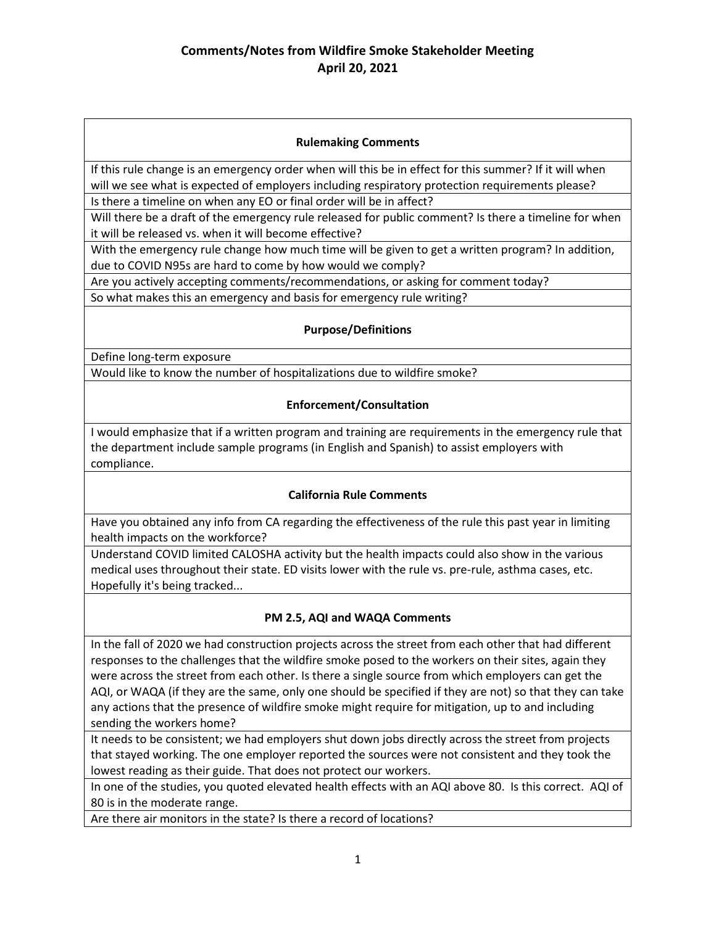### **Rulemaking Comments**

If this rule change is an emergency order when will this be in effect for this summer? If it will when will we see what is expected of employers including respiratory protection requirements please?

Is there a timeline on when any EO or final order will be in affect?

Will there be a draft of the emergency rule released for public comment? Is there a timeline for when it will be released vs. when it will become effective?

With the emergency rule change how much time will be given to get a written program? In addition, due to COVID N95s are hard to come by how would we comply?

Are you actively accepting comments/recommendations, or asking for comment today?

So what makes this an emergency and basis for emergency rule writing?

#### **Purpose/Definitions**

Define long-term exposure

Would like to know the number of hospitalizations due to wildfire smoke?

#### **Enforcement/Consultation**

I would emphasize that if a written program and training are requirements in the emergency rule that the department include sample programs (in English and Spanish) to assist employers with compliance.

#### **California Rule Comments**

Have you obtained any info from CA regarding the effectiveness of the rule this past year in limiting health impacts on the workforce?

Understand COVID limited CALOSHA activity but the health impacts could also show in the various medical uses throughout their state. ED visits lower with the rule vs. pre-rule, asthma cases, etc. Hopefully it's being tracked...

#### **PM 2.5, AQI and WAQA Comments**

In the fall of 2020 we had construction projects across the street from each other that had different responses to the challenges that the wildfire smoke posed to the workers on their sites, again they were across the street from each other. Is there a single source from which employers can get the AQI, or WAQA (if they are the same, only one should be specified if they are not) so that they can take any actions that the presence of wildfire smoke might require for mitigation, up to and including sending the workers home?

It needs to be consistent; we had employers shut down jobs directly across the street from projects that stayed working. The one employer reported the sources were not consistent and they took the lowest reading as their guide. That does not protect our workers.

In one of the studies, you quoted elevated health effects with an AQI above 80. Is this correct. AQI of 80 is in the moderate range.

Are there air monitors in the state? Is there a record of locations?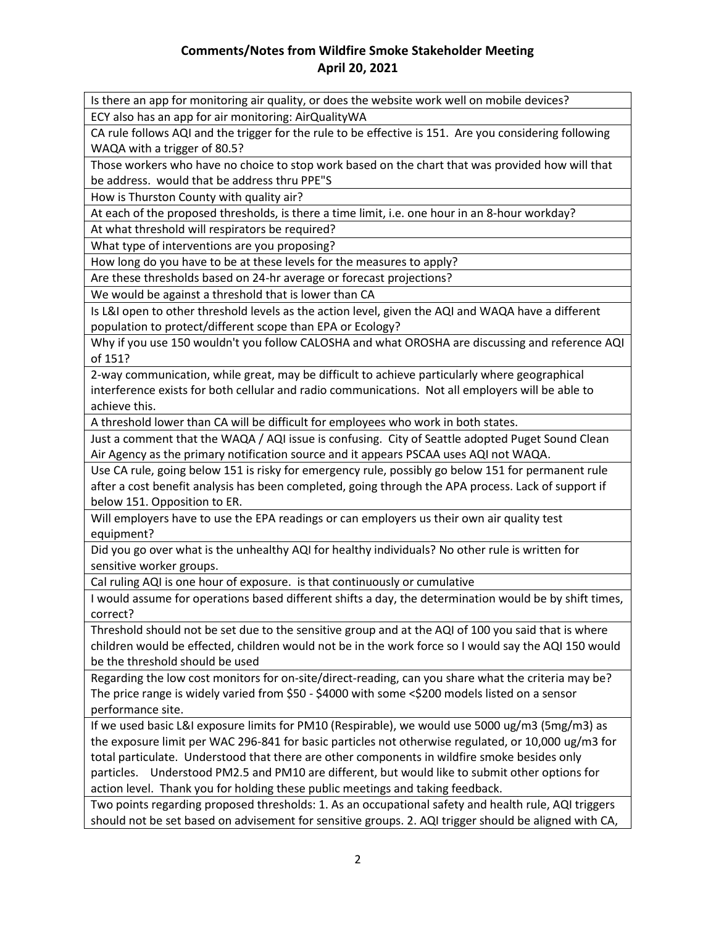# **Comments/Notes from Wildfire Smoke Stakeholder Meeting April 20, 2021**

Is there an app for monitoring air quality, or does the website work well on mobile devices?

ECY also has an app for air monitoring: AirQualityWA

CA rule follows AQI and the trigger for the rule to be effective is 151. Are you considering following WAQA with a trigger of 80.5?

Those workers who have no choice to stop work based on the chart that was provided how will that be address. would that be address thru PPE"S

How is Thurston County with quality air?

At each of the proposed thresholds, is there a time limit, i.e. one hour in an 8-hour workday?

At what threshold will respirators be required?

What type of interventions are you proposing?

How long do you have to be at these levels for the measures to apply?

Are these thresholds based on 24-hr average or forecast projections?

We would be against a threshold that is lower than CA

Is L&I open to other threshold levels as the action level, given the AQI and WAQA have a different population to protect/different scope than EPA or Ecology?

Why if you use 150 wouldn't you follow CALOSHA and what OROSHA are discussing and reference AQI of 151?

2-way communication, while great, may be difficult to achieve particularly where geographical interference exists for both cellular and radio communications. Not all employers will be able to achieve this.

A threshold lower than CA will be difficult for employees who work in both states.

Just a comment that the WAQA / AQI issue is confusing. City of Seattle adopted Puget Sound Clean Air Agency as the primary notification source and it appears PSCAA uses AQI not WAQA.

Use CA rule, going below 151 is risky for emergency rule, possibly go below 151 for permanent rule after a cost benefit analysis has been completed, going through the APA process. Lack of support if below 151. Opposition to ER.

Will employers have to use the EPA readings or can employers us their own air quality test equipment?

Did you go over what is the unhealthy AQI for healthy individuals? No other rule is written for sensitive worker groups.

Cal ruling AQI is one hour of exposure. is that continuously or cumulative

I would assume for operations based different shifts a day, the determination would be by shift times, correct?

Threshold should not be set due to the sensitive group and at the AQI of 100 you said that is where children would be effected, children would not be in the work force so I would say the AQI 150 would be the threshold should be used

Regarding the low cost monitors for on-site/direct-reading, can you share what the criteria may be? The price range is widely varied from \$50 - \$4000 with some <\$200 models listed on a sensor performance site.

If we used basic L&I exposure limits for PM10 (Respirable), we would use 5000 ug/m3 (5mg/m3) as the exposure limit per WAC 296-841 for basic particles not otherwise regulated, or 10,000 ug/m3 for total particulate. Understood that there are other components in wildfire smoke besides only particles. Understood PM2.5 and PM10 are different, but would like to submit other options for action level. Thank you for holding these public meetings and taking feedback.

Two points regarding proposed thresholds: 1. As an occupational safety and health rule, AQI triggers should not be set based on advisement for sensitive groups. 2. AQI trigger should be aligned with CA,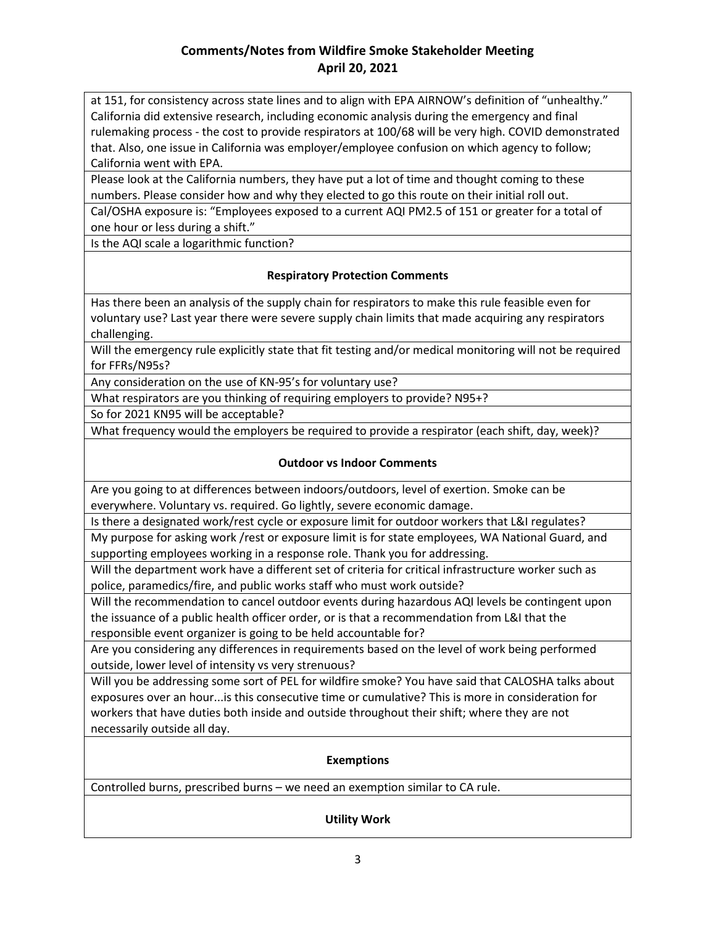# **Comments/Notes from Wildfire Smoke Stakeholder Meeting April 20, 2021**

at 151, for consistency across state lines and to align with EPA AIRNOW's definition of "unhealthy." California did extensive research, including economic analysis during the emergency and final rulemaking process - the cost to provide respirators at 100/68 will be very high. COVID demonstrated that. Also, one issue in California was employer/employee confusion on which agency to follow; California went with EPA.

Please look at the California numbers, they have put a lot of time and thought coming to these numbers. Please consider how and why they elected to go this route on their initial roll out.

Cal/OSHA exposure is: "Employees exposed to a current AQI PM2.5 of 151 or greater for a total of one hour or less during a shift."

Is the AQI scale a logarithmic function?

#### **Respiratory Protection Comments**

Has there been an analysis of the supply chain for respirators to make this rule feasible even for voluntary use? Last year there were severe supply chain limits that made acquiring any respirators challenging.

Will the emergency rule explicitly state that fit testing and/or medical monitoring will not be required for FFRs/N95s?

Any consideration on the use of KN-95's for voluntary use?

What respirators are you thinking of requiring employers to provide? N95+?

So for 2021 KN95 will be acceptable?

What frequency would the employers be required to provide a respirator (each shift, day, week)?

### **Outdoor vs Indoor Comments**

Are you going to at differences between indoors/outdoors, level of exertion. Smoke can be everywhere. Voluntary vs. required. Go lightly, severe economic damage.

Is there a designated work/rest cycle or exposure limit for outdoor workers that L&I regulates?

My purpose for asking work /rest or exposure limit is for state employees, WA National Guard, and supporting employees working in a response role. Thank you for addressing.

Will the department work have a different set of criteria for critical infrastructure worker such as police, paramedics/fire, and public works staff who must work outside?

Will the recommendation to cancel outdoor events during hazardous AQI levels be contingent upon the issuance of a public health officer order, or is that a recommendation from L&I that the responsible event organizer is going to be held accountable for?

Are you considering any differences in requirements based on the level of work being performed outside, lower level of intensity vs very strenuous?

Will you be addressing some sort of PEL for wildfire smoke? You have said that CALOSHA talks about exposures over an hour...is this consecutive time or cumulative? This is more in consideration for workers that have duties both inside and outside throughout their shift; where they are not necessarily outside all day.

#### **Exemptions**

Controlled burns, prescribed burns – we need an exemption similar to CA rule.

#### **Utility Work**